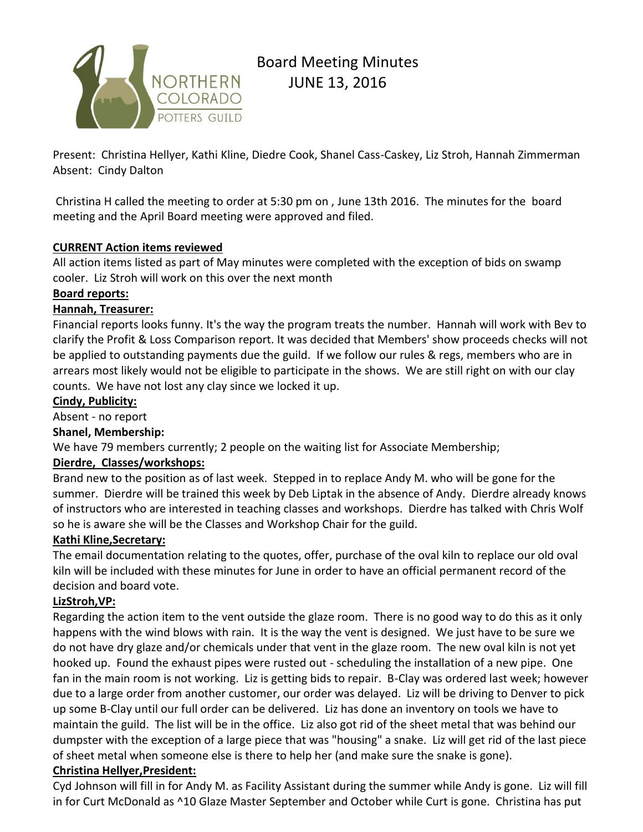

# Board Meeting Minutes JUNE 13, 2016

Present: Christina Hellyer, Kathi Kline, Diedre Cook, Shanel Cass-Caskey, Liz Stroh, Hannah Zimmerman Absent: Cindy Dalton

Christina H called the meeting to order at 5:30 pm on , June 13th 2016. The minutes for the board meeting and the April Board meeting were approved and filed.

## **CURRENT Action items reviewed**

All action items listed as part of May minutes were completed with the exception of bids on swamp cooler. Liz Stroh will work on this over the next month

## **Board reports:**

## **Hannah, Treasurer:**

Financial reports looks funny. It's the way the program treats the number. Hannah will work with Bev to clarify the Profit & Loss Comparison report. It was decided that Members' show proceeds checks will not be applied to outstanding payments due the guild. If we follow our rules & regs, members who are in arrears most likely would not be eligible to participate in the shows. We are still right on with our clay counts. We have not lost any clay since we locked it up.

#### **Cindy, Publicity:**

Absent - no report

## **Shanel, Membership:**

We have 79 members currently; 2 people on the waiting list for Associate Membership;

## **Dierdre, Classes/workshops:**

Brand new to the position as of last week. Stepped in to replace Andy M. who will be gone for the summer. Dierdre will be trained this week by Deb Liptak in the absence of Andy. Dierdre already knows of instructors who are interested in teaching classes and workshops. Dierdre has talked with Chris Wolf so he is aware she will be the Classes and Workshop Chair for the guild.

## **Kathi Kline,Secretary:**

The email documentation relating to the quotes, offer, purchase of the oval kiln to replace our old oval kiln will be included with these minutes for June in order to have an official permanent record of the decision and board vote.

## **LizStroh,VP:**

Regarding the action item to the vent outside the glaze room. There is no good way to do this as it only happens with the wind blows with rain. It is the way the vent is designed. We just have to be sure we do not have dry glaze and/or chemicals under that vent in the glaze room. The new oval kiln is not yet hooked up. Found the exhaust pipes were rusted out - scheduling the installation of a new pipe. One fan in the main room is not working. Liz is getting bids to repair. B-Clay was ordered last week; however due to a large order from another customer, our order was delayed. Liz will be driving to Denver to pick up some B-Clay until our full order can be delivered. Liz has done an inventory on tools we have to maintain the guild. The list will be in the office. Liz also got rid of the sheet metal that was behind our dumpster with the exception of a large piece that was "housing" a snake. Liz will get rid of the last piece of sheet metal when someone else is there to help her (and make sure the snake is gone).

## **Christina Hellyer,President:**

Cyd Johnson will fill in for Andy M. as Facility Assistant during the summer while Andy is gone. Liz will fill in for Curt McDonald as ^10 Glaze Master September and October while Curt is gone. Christina has put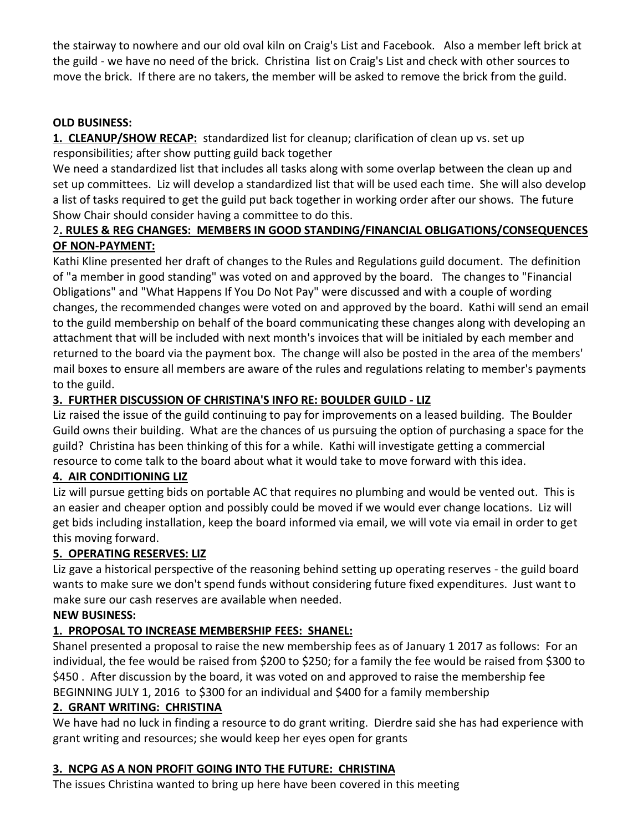the stairway to nowhere and our old oval kiln on Craig's List and Facebook. Also a member left brick at the guild - we have no need of the brick. Christina list on Craig's List and check with other sources to move the brick. If there are no takers, the member will be asked to remove the brick from the guild.

## **OLD BUSINESS:**

**1. CLEANUP/SHOW RECAP:** standardized list for cleanup; clarification of clean up vs. set up responsibilities; after show putting guild back together

We need a standardized list that includes all tasks along with some overlap between the clean up and set up committees. Liz will develop a standardized list that will be used each time. She will also develop a list of tasks required to get the guild put back together in working order after our shows. The future Show Chair should consider having a committee to do this.

## 2**. RULES & REG CHANGES: MEMBERS IN GOOD STANDING/FINANCIAL OBLIGATIONS/CONSEQUENCES OF NON-PAYMENT:**

Kathi Kline presented her draft of changes to the Rules and Regulations guild document. The definition of "a member in good standing" was voted on and approved by the board. The changes to "Financial Obligations" and "What Happens If You Do Not Pay" were discussed and with a couple of wording changes, the recommended changes were voted on and approved by the board. Kathi will send an email to the guild membership on behalf of the board communicating these changes along with developing an attachment that will be included with next month's invoices that will be initialed by each member and returned to the board via the payment box. The change will also be posted in the area of the members' mail boxes to ensure all members are aware of the rules and regulations relating to member's payments to the guild.

## **3. FURTHER DISCUSSION OF CHRISTINA'S INFO RE: BOULDER GUILD - LIZ**

Liz raised the issue of the guild continuing to pay for improvements on a leased building. The Boulder Guild owns their building. What are the chances of us pursuing the option of purchasing a space for the guild? Christina has been thinking of this for a while. Kathi will investigate getting a commercial resource to come talk to the board about what it would take to move forward with this idea.

## **4. AIR CONDITIONING LIZ**

Liz will pursue getting bids on portable AC that requires no plumbing and would be vented out. This is an easier and cheaper option and possibly could be moved if we would ever change locations. Liz will get bids including installation, keep the board informed via email, we will vote via email in order to get this moving forward.

## **5. OPERATING RESERVES: LIZ**

Liz gave a historical perspective of the reasoning behind setting up operating reserves - the guild board wants to make sure we don't spend funds without considering future fixed expenditures. Just want to make sure our cash reserves are available when needed.

## **NEW BUSINESS:**

## **1. PROPOSAL TO INCREASE MEMBERSHIP FEES: SHANEL:**

Shanel presented a proposal to raise the new membership fees as of January 1 2017 as follows: For an individual, the fee would be raised from \$200 to \$250; for a family the fee would be raised from \$300 to \$450 . After discussion by the board, it was voted on and approved to raise the membership fee BEGINNING JULY 1, 2016 to \$300 for an individual and \$400 for a family membership

## **2. GRANT WRITING: CHRISTINA**

We have had no luck in finding a resource to do grant writing. Dierdre said she has had experience with grant writing and resources; she would keep her eyes open for grants

## **3. NCPG AS A NON PROFIT GOING INTO THE FUTURE: CHRISTINA**

The issues Christina wanted to bring up here have been covered in this meeting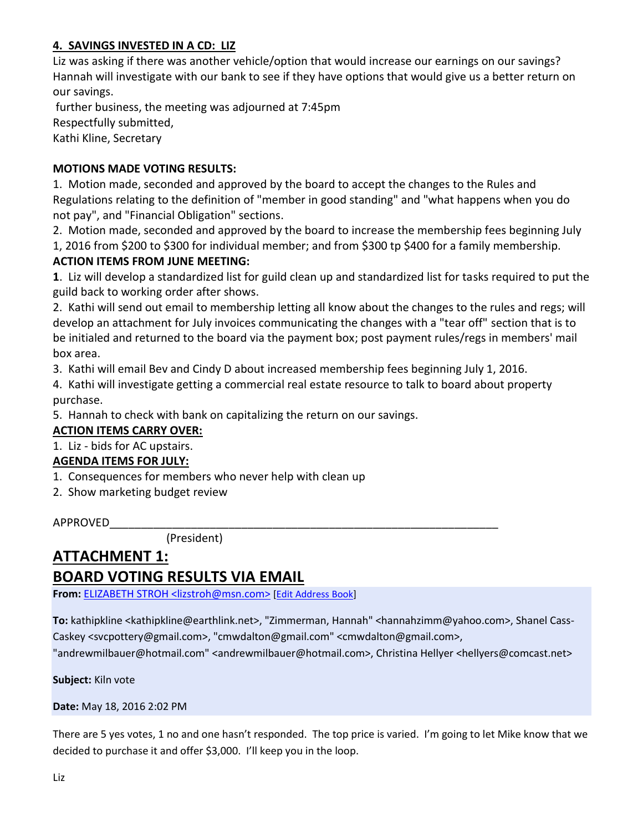## **4. SAVINGS INVESTED IN A CD: LIZ**

Liz was asking if there was another vehicle/option that would increase our earnings on our savings? Hannah will investigate with our bank to see if they have options that would give us a better return on our savings.

further business, the meeting was adjourned at 7:45pm Respectfully submitted, Kathi Kline, Secretary

#### **MOTIONS MADE VOTING RESULTS:**

1. Motion made, seconded and approved by the board to accept the changes to the Rules and Regulations relating to the definition of "member in good standing" and "what happens when you do not pay", and "Financial Obligation" sections.

2. Motion made, seconded and approved by the board to increase the membership fees beginning July

1, 2016 from \$200 to \$300 for individual member; and from \$300 tp \$400 for a family membership.

#### **ACTION ITEMS FROM JUNE MEETING:**

**1**. Liz will develop a standardized list for guild clean up and standardized list for tasks required to put the guild back to working order after shows.

2. Kathi will send out email to membership letting all know about the changes to the rules and regs; will develop an attachment for July invoices communicating the changes with a "tear off" section that is to be initialed and returned to the board via the payment box; post payment rules/regs in members' mail box area.

3. Kathi will email Bev and Cindy D about increased membership fees beginning July 1, 2016.

4. Kathi will investigate getting a commercial real estate resource to talk to board about property purchase.

5. Hannah to check with bank on capitalizing the return on our savings.

**ACTION ITEMS CARRY OVER:**

1. Liz - bids for AC upstairs.

## **AGENDA ITEMS FOR JULY:**

- 1. Consequences for members who never help with clean up
- 2. Show marketing budget review

APPROVED\_\_\_\_\_\_\_\_\_\_\_\_\_\_\_\_\_\_\_\_\_\_\_\_\_\_\_\_\_\_\_\_\_\_\_\_\_\_\_\_\_\_\_\_\_\_\_\_\_\_\_\_\_\_\_\_\_\_\_\_\_\_

(President)

## **ATTACHMENT 1: BOARD VOTING RESULTS VIA EMAIL**

**From:** ELIZABETH STROH [<lizstroh@msn.com>](http://webmail.earthlink.net/wam/MsgReply?msgid=49819&action=reply&style=html&title=Reply&x=-544847669) [Edit [Address](http://webmail.earthlink.net/wam/addrbook.jsp?mode=editContact&msgID=49819&emailAddress=lizstroh@msn.com&firstName=ELIZABETH&lastName=STROH&contactid=1571314480&x=1508069802) Book]

**To:** kathipkline <kathipkline@earthlink.net>, "Zimmerman, Hannah" <hannahzimm@yahoo.com>, Shanel Cass-Caskey <svcpottery@gmail.com>, "cmwdalton@gmail.com" <cmwdalton@gmail.com>,

"andrewmilbauer@hotmail.com" <andrewmilbauer@hotmail.com>, Christina Hellyer <hellyers@comcast.net>

**Subject:** Kiln vote

**Date:** May 18, 2016 2:02 PM

There are 5 yes votes, 1 no and one hasn't responded. The top price is varied. I'm going to let Mike know that we decided to purchase it and offer \$3,000. I'll keep you in the loop.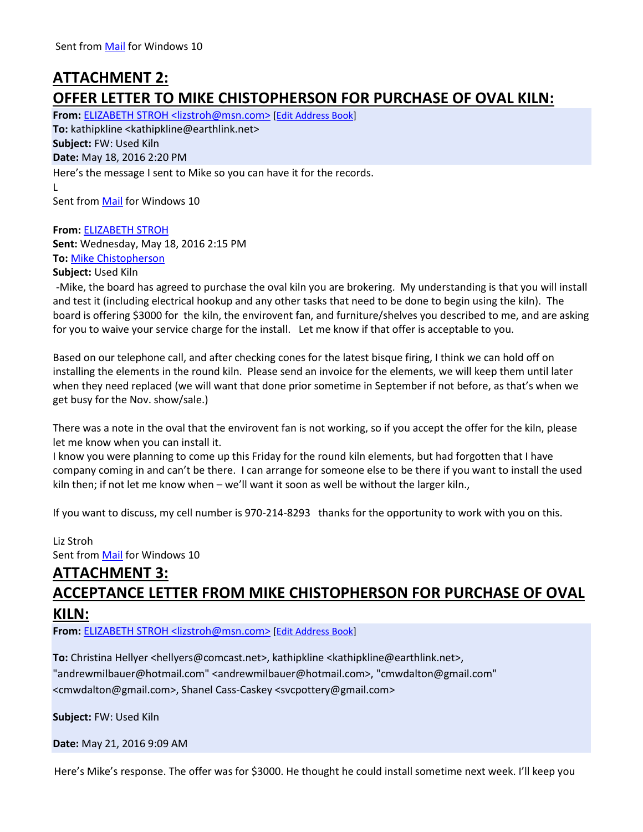## **ATTACHMENT 2: OFFER LETTER TO MIKE CHISTOPHERSON FOR PURCHASE OF OVAL KILN:**

From: [ELIZABETH STROH <lizstroh@msn.com>](http://webmail.earthlink.net/wam/MsgReply?msgid=49822&action=reply&style=html&title=Reply&x=971878370) [\[Edit Address Book\]](http://webmail.earthlink.net/wam/addrbook.jsp?mode=editContact&msgID=49822&emailAddress=lizstroh@msn.com&firstName=ELIZABETH&lastName=STROH&contactid=1571314480&x=-10794497) **To:** kathipkline <kathipkline@earthlink.net> **Subject:** FW: Used Kiln **Date:** May 18, 2016 2:20 PM Here's the message I sent to Mike so you can have it for the records. L Sent from [Mail](https://go.microsoft.com/fwlink/?LinkId=550986) for Windows 10

**From:** [ELIZABETH STROH](mailto:lizstroh@msn.com) **Sent:** Wednesday, May 18, 2016 2:15 PM **To:** [Mike Chistopherson](mailto:mikeskiln@gmail.com)

**Subject:** Used Kiln

-Mike, the board has agreed to purchase the oval kiln you are brokering. My understanding is that you will install and test it (including electrical hookup and any other tasks that need to be done to begin using the kiln). The board is offering \$3000 for the kiln, the envirovent fan, and furniture/shelves you described to me, and are asking for you to waive your service charge for the install. Let me know if that offer is acceptable to you.

Based on our telephone call, and after checking cones for the latest bisque firing, I think we can hold off on installing the elements in the round kiln. Please send an invoice for the elements, we will keep them until later when they need replaced (we will want that done prior sometime in September if not before, as that's when we get busy for the Nov. show/sale.)

There was a note in the oval that the envirovent fan is not working, so if you accept the offer for the kiln, please let me know when you can install it.

I know you were planning to come up this Friday for the round kiln elements, but had forgotten that I have company coming in and can't be there. I can arrange for someone else to be there if you want to install the used kiln then; if not let me know when – we'll want it soon as well be without the larger kiln.,

If you want to discuss, my cell number is 970-214-8293 thanks for the opportunity to work with you on this.

Liz Stroh Sent from [Mail](https://go.microsoft.com/fwlink/?LinkId=550986) for Windows 10

# **ATTACHMENT 3: ACCEPTANCE LETTER FROM MIKE CHISTOPHERSON FOR PURCHASE OF OVAL KILN:**

**From:** ELIZABETH STROH [<lizstroh@msn.com>](http://webmail.earthlink.net/wam/MsgReply?msgid=49868&action=reply&style=html&title=Reply&x=2016206807) [Edit [Address](http://webmail.earthlink.net/wam/addrbook.jsp?mode=editContact&msgID=49868&emailAddress=lizstroh@msn.com&firstName=ELIZABETH&lastName=STROH&contactid=1571314480&x=778170604) Book]

To: Christina Hellyer <hellyers@comcast.net>, kathipkline <kathipkline@earthlink.net>, "andrewmilbauer@hotmail.com" <andrewmilbauer@hotmail.com>, "cmwdalton@gmail.com" <cmwdalton@gmail.com>, Shanel Cass-Caskey <svcpottery@gmail.com>

**Subject:** FW: Used Kiln

**Date:** May 21, 2016 9:09 AM

Here's Mike's response. The offer was for \$3000. He thought he could install sometime next week. I'll keep you